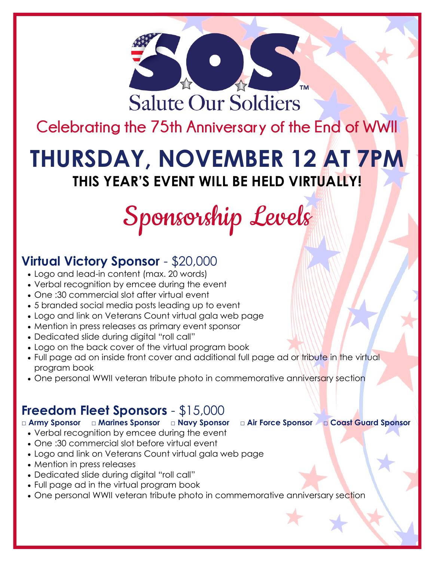

**Celebrating the 75th Anniversary of the End of WWII**

## **THURSDAY, NOVEMBER 12 AT 7PM THIS YEAR'S EVENT WILL BE HELD VIRTUALLY!**

# Sponsorship Levels

### **Virtual Victory Sponsor** - \$20,000

- Logo and lead-in content (max. 20 words)
- Verbal recognition by emcee during the event
- One :30 commercial slot after virtual event
- 5 branded social media posts leading up to event
- Logo and link on Veterans Count virtual gala web page
- Mention in press releases as primary event sponsor
- Dedicated slide during digital "roll call"
- Logo on the back cover of the virtual program book
- Full page ad on inside front cover and additional full page ad or tribute in the virtual program book
- One personal WWII veteran tribute photo in commemorative anniversary section

### **Freedom Fleet Sponsors** - \$15,000

#### □ Army Sponsor □ Marines Sponsor □ Navy Sponsor □ Air Force Sponsor □ Coast Guard Sponsor

- Verbal recognition by emcee during the event
- One :30 commercial slot before virtual event
- Logo and link on Veterans Count virtual gala web page
- Mention in press releases
- Dedicated slide during digital "roll call"
- Full page ad in the virtual program book
- One personal WWII veteran tribute photo in commemorative anniversary section